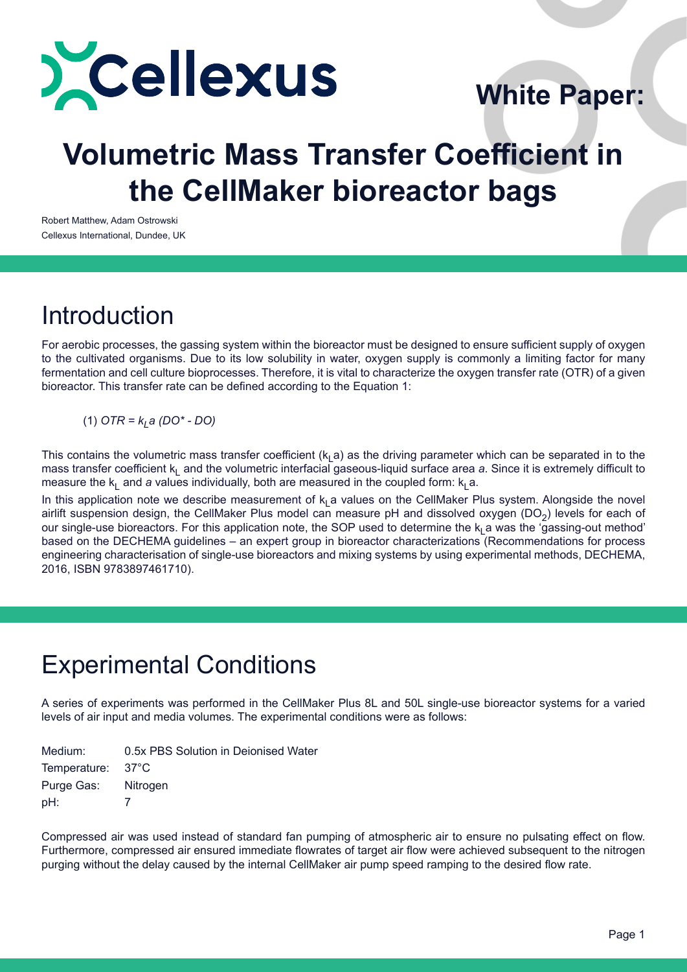

# **White Paper:**

# **Volumetric Mass Transfer Coefficient in the CellMaker bioreactor bags**

Robert Matthew, Adam Ostrowski Cellexus International, Dundee, UK

## **Introduction**

For aerobic processes, the gassing system within the bioreactor must be designed to ensure sufficient supply of oxygen to the cultivated organisms. Due to its low solubility in water, oxygen supply is commonly a limiting factor for many fermentation and cell culture bioprocesses. Therefore, it is vital to characterize the oxygen transfer rate (OTR) of a given bioreactor. This transfer rate can be defined according to the Equation 1:

 $(1)$  *OTR = k<sub>i</sub> a (DO\* - DO)* 

This contains the volumetric mass transfer coefficient ( $k<sub>1</sub>$ a) as the driving parameter which can be separated in to the mass transfer coefficient k<sub>l</sub> and the volumetric interfacial gaseous-liquid surface area *a*. Since it is extremely difficult to measure the  $k_1$  and *a* values individually, both are measured in the coupled form:  $k_1$  a.

In this application note we describe measurement of  $k_1$  a values on the CellMaker Plus system. Alongside the novel airlift suspension design, the CellMaker Plus model can measure pH and dissolved oxygen ( $DO<sub>2</sub>$ ) levels for each of our single-use bioreactors. For this application note, the SOP used to determine the  $k_1$  a was the 'gassing-out method' based on the DECHEMA guidelines – an expert group in bioreactor characterizations (Recommendations for process engineering characterisation of single-use bioreactors and mixing systems by using experimental methods, DECHEMA, 2016, ISBN 9783897461710).

### Experimental Conditions

A series of experiments was performed in the CellMaker Plus 8L and 50L single-use bioreactor systems for a varied levels of air input and media volumes. The experimental conditions were as follows:

| Medium:             | 0.5x PBS Solution in Deionised Water |
|---------------------|--------------------------------------|
| Temperature: 37°C   |                                      |
| Purge Gas: Nitrogen |                                      |
| pH:                 |                                      |

Compressed air was used instead of standard fan pumping of atmospheric air to ensure no pulsating effect on flow. Furthermore, compressed air ensured immediate flowrates of target air flow were achieved subsequent to the nitrogen purging without the delay caused by the internal CellMaker air pump speed ramping to the desired flow rate.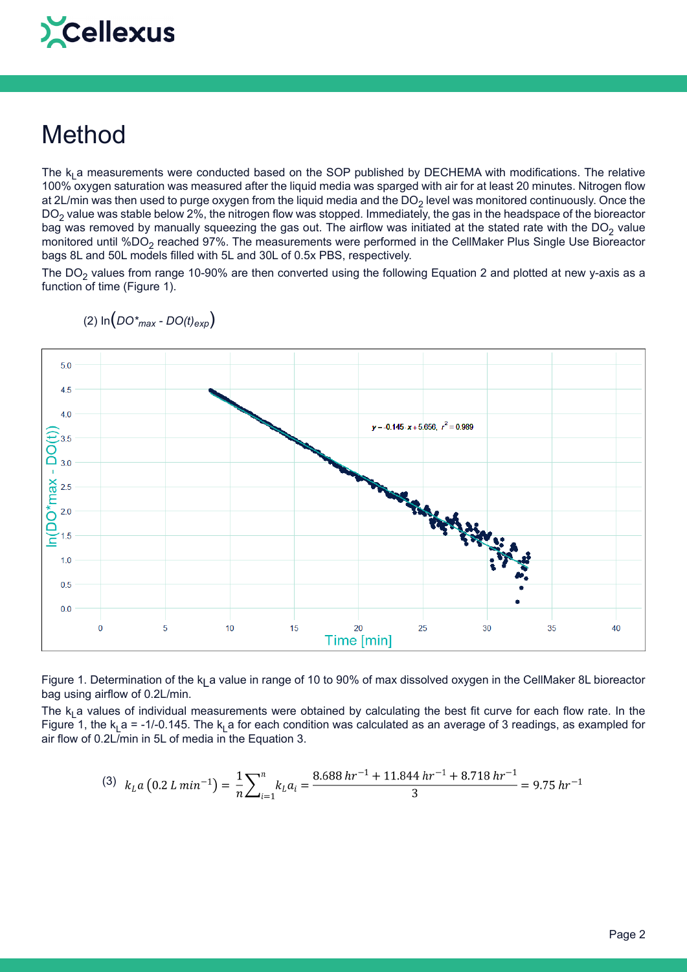# Cellexus

## Method

The  $k_1$  a measurements were conducted based on the SOP published by DECHEMA with modifications. The relative 100% oxygen saturation was measured after the liquid media was sparged with air for at least 20 minutes. Nitrogen flow at 2L/min was then used to purge oxygen from the liquid media and the  $DO<sub>2</sub>$  level was monitored continuously. Once the  $DO<sub>2</sub>$  value was stable below 2%, the nitrogen flow was stopped. Immediately, the gas in the headspace of the bioreactor bag was removed by manually squeezing the gas out. The airflow was initiated at the stated rate with the DO<sub>2</sub> value monitored until %DO<sub>2</sub> reached 97%. The measurements were performed in the CellMaker Plus Single Use Bioreactor bags 8L and 50L models filled with 5L and 30L of 0.5x PBS, respectively.

The DO<sub>2</sub> values from range 10-90% are then converted using the following Equation 2 and plotted at new y-axis as a function of time (Figure 1).



(2)  $\ln(DO^*_{max} - DO(t)_{exp})$ 

Figure 1. Determination of the  $k_1$  a value in range of 10 to 90% of max dissolved oxygen in the CellMaker 8L bioreactor bag using airflow of 0.2L/min.

The  $k_1$  a values of individual measurements were obtained by calculating the best fit curve for each flow rate. In the Figure 1, the  $k_1$  a = -1/-0.145. The  $k_1$  a for each condition was calculated as an average of 3 readings, as exampled for air flow of 0.2L/min in 5L of media in the Equation 3.

$$
(3) \ \ kLa (0.2 L min-1) = \frac{1}{n} \sum_{i=1}^{n} kLai = \frac{8.688 hr-1 + 11.844 hr-1 + 8.718 hr-1}{3} = 9.75 hr-1
$$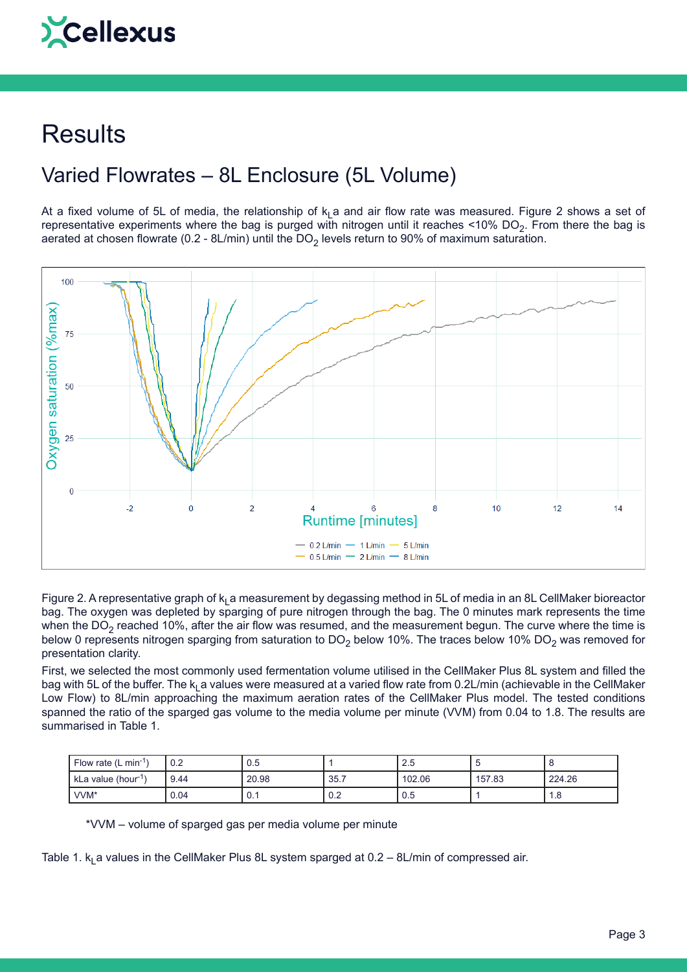# Cellexus

# **Results**

### Varied Flowrates – 8L Enclosure (5L Volume)

At a fixed volume of 5L of media, the relationship of  $k_1$  a and air flow rate was measured. Figure 2 shows a set of representative experiments where the bag is purged with nitrogen until it reaches <10% DO<sub>2</sub>. From there the bag is aerated at chosen flowrate (0.2 - 8L/min) until the  $DO<sub>2</sub>$  levels return to 90% of maximum saturation.



Figure 2. A representative graph of  $k_1$  a measurement by degassing method in 5L of media in an 8L CellMaker bioreactor bag. The oxygen was depleted by sparging of pure nitrogen through the bag. The 0 minutes mark represents the time when the DO<sub>2</sub> reached 10%, after the air flow was resumed, and the measurement begun. The curve where the time is below 0 represents nitrogen sparging from saturation to DO<sub>2</sub> below 10%. The traces below 10% DO<sub>2</sub> was removed for presentation clarity.

First, we selected the most commonly used fermentation volume utilised in the CellMaker Plus 8L system and filled the bag with 5L of the buffer. The  $k_1$  a values were measured at a varied flow rate from 0.2L/min (achievable in the CellMaker Low Flow) to 8L/min approaching the maximum aeration rates of the CellMaker Plus model. The tested conditions spanned the ratio of the sparged gas volume to the media volume per minute (VVM) from 0.04 to 1.8. The results are summarised in Table 1.

| Flow rate (L min <sup>-1</sup> | 0.2  | 0.5     |      | 2.5    |        |        |
|--------------------------------|------|---------|------|--------|--------|--------|
| kLa value (hour <sup>-11</sup> | 9.44 | 20.98   | 35.7 | 102.06 | 157.83 | 224.26 |
| VVM <sup>*</sup>               | 0.04 | ∩<br>v. | 0.2  | 0.5    |        | 1.8    |

\*VVM – volume of sparged gas per media volume per minute

Table 1.  $k_1$  a values in the CellMaker Plus 8L system sparged at 0.2 – 8L/min of compressed air.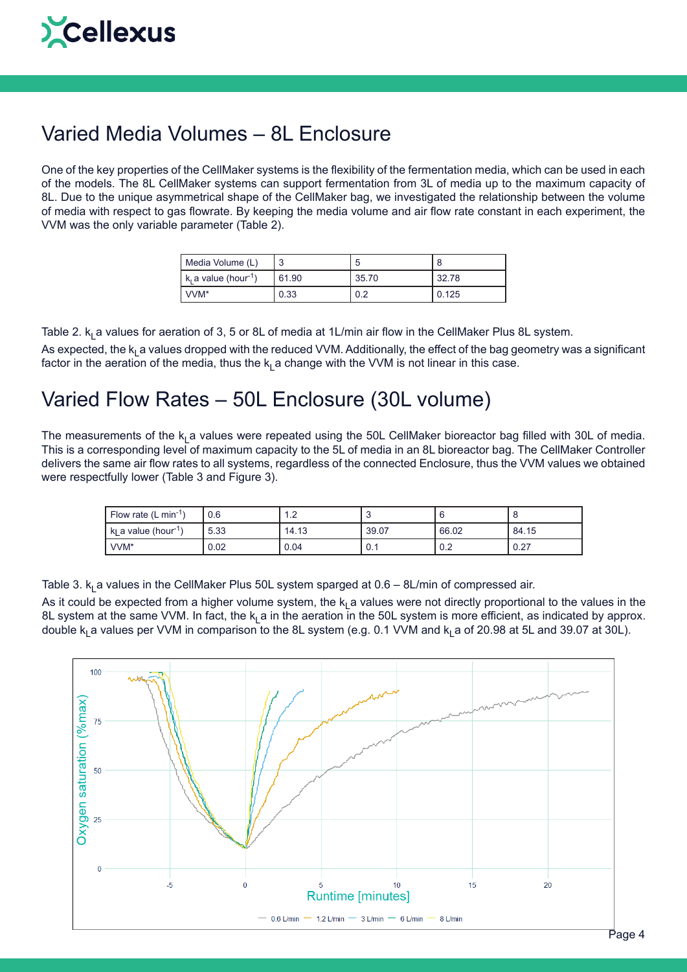#### Varied Media Volumes – 8L Enclosure

One of the key properties of the CellMaker systems is the flexibility of the fermentation media, which can be used in each of the models. The 8L CellMaker systems can support fermentation from 3L of media up to the maximum capacity of 8L. Due to the unique asymmetrical shape of the CellMaker bag, we investigated the relationship between the volume of media with respect to gas flowrate. By keeping the media volume and air flow rate constant in each experiment, the VVM was the only variable parameter (Table 2).

| Media Volume (L)                             |       | b     |       |
|----------------------------------------------|-------|-------|-------|
| $\mathsf{R}_i$ a value (hour <sup>-1</sup> ) | 61.90 | 35.70 | 32.78 |
| I VVM <sup>*</sup>                           | 0.33  | 0.2   | 0.125 |

Table 2.  $k<sub>L</sub>$  a values for aeration of 3, 5 or 8L of media at 1L/min air flow in the CellMaker Plus 8L system. As expected, the k<sub>L</sub>a values dropped with the reduced VVM. Additionally, the effect of the bag geometry was a significant factor in the aeration of the media, thus the  $k_1$  a change with the VVM is not linear in this case.

#### Varied Flow Rates – 50L Enclosure (30L volume)

The measurements of the  $k_1$  a values were repeated using the 50L CellMaker bioreactor bag filled with 30L of media. This is a corresponding level of maximum capacity to the 5L of media in an 8L bioreactor bag. The CellMaker Controller delivers the same air flow rates to all systems, regardless of the connected Enclosure, thus the VVM values we obtained were respectfully lower (Table 3 and Figure 3).

| Flow rate $(L \text{ min}^{-1})$                          | 0.6  | . . <u>.</u> |       |       |       |
|-----------------------------------------------------------|------|--------------|-------|-------|-------|
| $\mathsf{I}$ k <sub>i</sub> a value (hour <sup>-1</sup> ) | 5.33 | 14.13        | 39.07 | 66.02 | 84.15 |
| VVM <sup>*</sup>                                          | 0.02 | 0.04         | ν.ι   | 0.2   | 0.27  |

Table 3.  $k_1$  a values in the CellMaker Plus 50L system sparged at 0.6 – 8L/min of compressed air.

As it could be expected from a higher volume system, the  $k_1$  a values were not directly proportional to the values in the 8L system at the same VVM. In fact, the  $k_1$  a in the aeration in the 50L system is more efficient, as indicated by approx. double  $k_1$  a values per VVM in comparison to the 8L system (e.g. 0.1 VVM and  $k_1$  a of 20.98 at 5L and 39.07 at 30L).

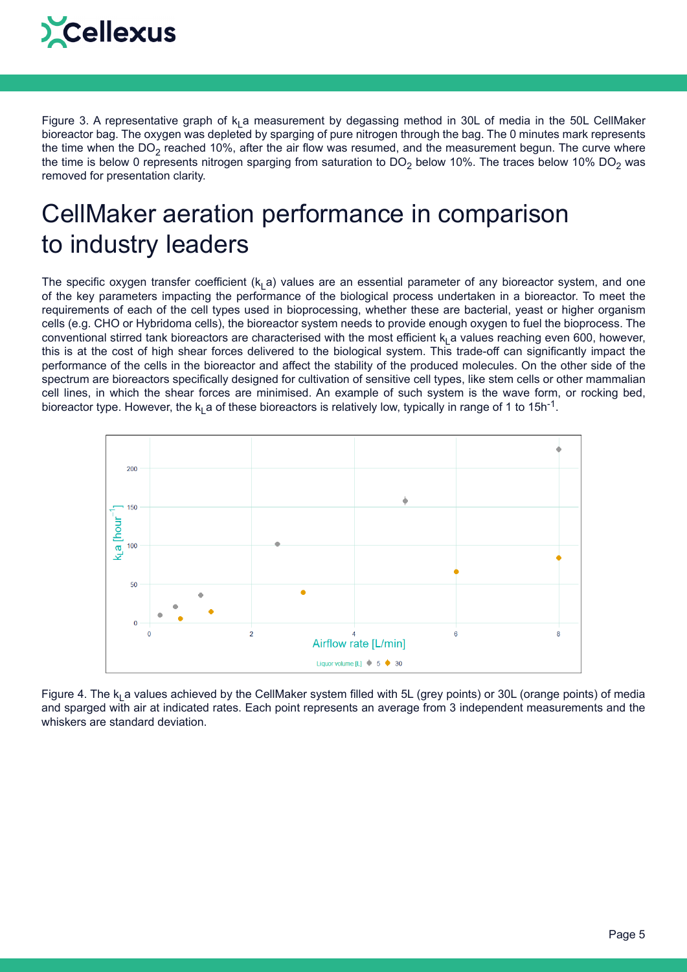

Figure 3. A representative graph of  $k<sub>1</sub>$  a measurement by degassing method in 30L of media in the 50L CellMaker bioreactor bag. The oxygen was depleted by sparging of pure nitrogen through the bag. The 0 minutes mark represents the time when the  $DO<sub>2</sub>$  reached 10%, after the air flow was resumed, and the measurement begun. The curve where the time is below 0 represents nitrogen sparging from saturation to DO<sub>2</sub> below 10%. The traces below 10% DO<sub>2</sub> was removed for presentation clarity.

## CellMaker aeration performance in comparison to industry leaders

The specific oxygen transfer coefficient ( $k<sub>L</sub>$ a) values are an essential parameter of any bioreactor system, and one of the key parameters impacting the performance of the biological process undertaken in a bioreactor. To meet the requirements of each of the cell types used in bioprocessing, whether these are bacterial, yeast or higher organism cells (e.g. CHO or Hybridoma cells), the bioreactor system needs to provide enough oxygen to fuel the bioprocess. The conventional stirred tank bioreactors are characterised with the most efficient  $k_1$  a values reaching even 600, however, this is at the cost of high shear forces delivered to the biological system. This trade-off can significantly impact the performance of the cells in the bioreactor and affect the stability of the produced molecules. On the other side of the spectrum are bioreactors specifically designed for cultivation of sensitive cell types, like stem cells or other mammalian cell lines, in which the shear forces are minimised. An example of such system is the wave form, or rocking bed, bioreactor type. However, the  $k_1$  a of these bioreactors is relatively low, typically in range of 1 to 15h<sup>-1</sup>.



Figure 4. The  $k_1$  a values achieved by the CellMaker system filled with 5L (grey points) or 30L (orange points) of media and sparged with air at indicated rates. Each point represents an average from 3 independent measurements and the whiskers are standard deviation.